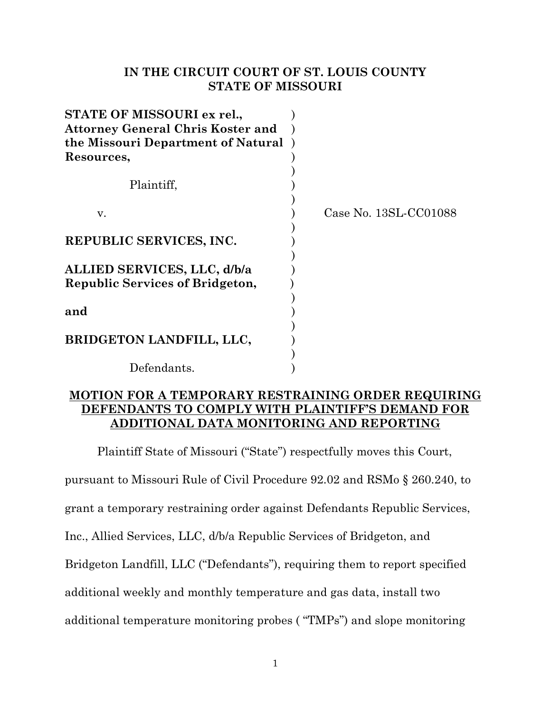# **IN THE CIRCUIT COURT OF ST. LOUIS COUNTY STATE OF MISSOURI**

| STATE OF MISSOURI ex rel.,               |                       |
|------------------------------------------|-----------------------|
| <b>Attorney General Chris Koster and</b> |                       |
| the Missouri Department of Natural       |                       |
| Resources,                               |                       |
|                                          |                       |
| Plaintiff,                               |                       |
|                                          |                       |
| v.                                       | Case No. 13SL-CC01088 |
|                                          |                       |
| REPUBLIC SERVICES, INC.                  |                       |
|                                          |                       |
| ALLIED SERVICES, LLC, d/b/a              |                       |
| <b>Republic Services of Bridgeton,</b>   |                       |
|                                          |                       |
| and                                      |                       |
|                                          |                       |
| BRIDGETON LANDFILL, LLC,                 |                       |
|                                          |                       |
| Defendants.                              |                       |

# **MOTION FOR A TEMPORARY RESTRAINING ORDER REQUIRING DEFENDANTS TO COMPLY WITH PLAINTIFF'S DEMAND FOR ADDITIONAL DATA MONITORING AND REPORTING**

Plaintiff State of Missouri ("State") respectfully moves this Court,

pursuant to Missouri Rule of Civil Procedure 92.02 and RSMo § 260.240, to

grant a temporary restraining order against Defendants Republic Services,

Inc., Allied Services, LLC, d/b/a Republic Services of Bridgeton, and

Bridgeton Landfill, LLC ("Defendants"), requiring them to report specified

additional weekly and monthly temperature and gas data, install two

additional temperature monitoring probes ( "TMPs") and slope monitoring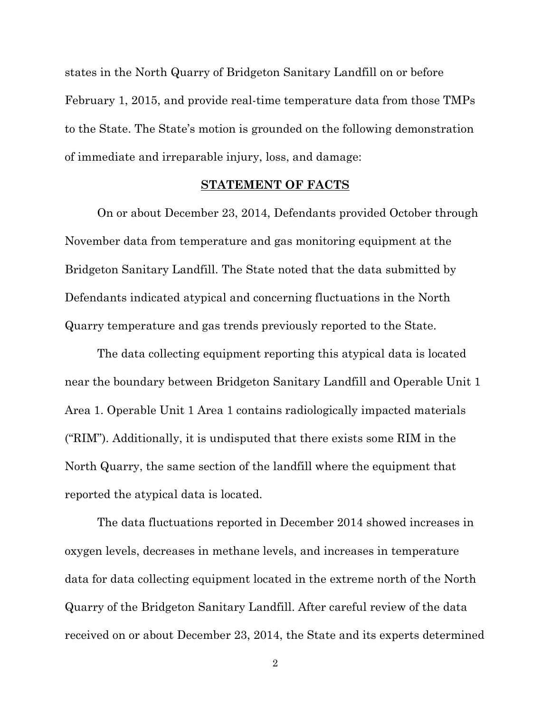states in the North Quarry of Bridgeton Sanitary Landfill on or before February 1, 2015, and provide real-time temperature data from those TMPs to the State. The State's motion is grounded on the following demonstration of immediate and irreparable injury, loss, and damage:

### **STATEMENT OF FACTS**

On or about December 23, 2014, Defendants provided October through November data from temperature and gas monitoring equipment at the Bridgeton Sanitary Landfill. The State noted that the data submitted by Defendants indicated atypical and concerning fluctuations in the North Quarry temperature and gas trends previously reported to the State.

The data collecting equipment reporting this atypical data is located near the boundary between Bridgeton Sanitary Landfill and Operable Unit 1 Area 1. Operable Unit 1 Area 1 contains radiologically impacted materials ("RIM"). Additionally, it is undisputed that there exists some RIM in the North Quarry, the same section of the landfill where the equipment that reported the atypical data is located.

The data fluctuations reported in December 2014 showed increases in oxygen levels, decreases in methane levels, and increases in temperature data for data collecting equipment located in the extreme north of the North Quarry of the Bridgeton Sanitary Landfill. After careful review of the data received on or about December 23, 2014, the State and its experts determined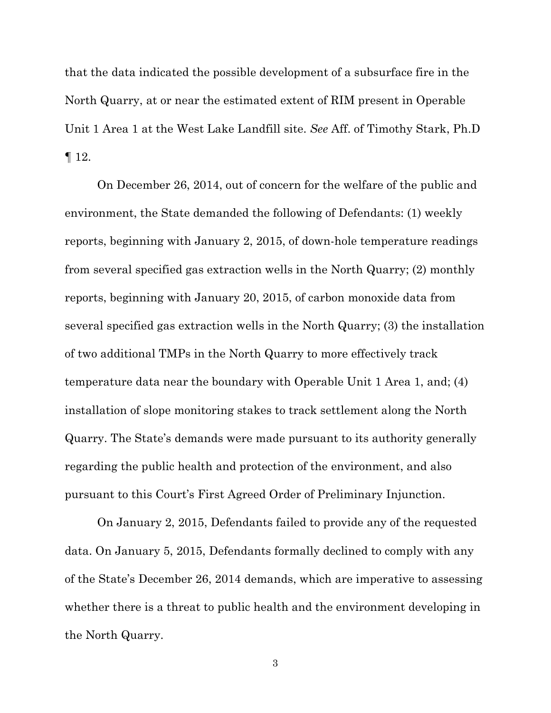that the data indicated the possible development of a subsurface fire in the North Quarry, at or near the estimated extent of RIM present in Operable Unit 1 Area 1 at the West Lake Landfill site. *See* Aff. of Timothy Stark, Ph.D  $\P$  12.

On December 26, 2014, out of concern for the welfare of the public and environment, the State demanded the following of Defendants: (1) weekly reports, beginning with January 2, 2015, of down-hole temperature readings from several specified gas extraction wells in the North Quarry; (2) monthly reports, beginning with January 20, 2015, of carbon monoxide data from several specified gas extraction wells in the North Quarry; (3) the installation of two additional TMPs in the North Quarry to more effectively track temperature data near the boundary with Operable Unit 1 Area 1, and; (4) installation of slope monitoring stakes to track settlement along the North Quarry. The State's demands were made pursuant to its authority generally regarding the public health and protection of the environment, and also pursuant to this Court's First Agreed Order of Preliminary Injunction.

On January 2, 2015, Defendants failed to provide any of the requested data. On January 5, 2015, Defendants formally declined to comply with any of the State's December 26, 2014 demands, which are imperative to assessing whether there is a threat to public health and the environment developing in the North Quarry.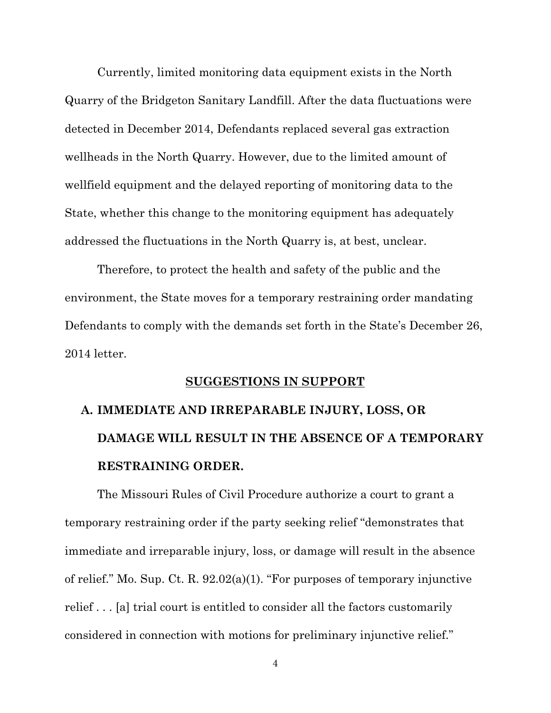Currently, limited monitoring data equipment exists in the North Quarry of the Bridgeton Sanitary Landfill. After the data fluctuations were detected in December 2014, Defendants replaced several gas extraction wellheads in the North Quarry. However, due to the limited amount of wellfield equipment and the delayed reporting of monitoring data to the State, whether this change to the monitoring equipment has adequately addressed the fluctuations in the North Quarry is, at best, unclear.

Therefore, to protect the health and safety of the public and the environment, the State moves for a temporary restraining order mandating Defendants to comply with the demands set forth in the State's December 26, 2014 letter.

### **SUGGESTIONS IN SUPPORT**

# **A. IMMEDIATE AND IRREPARABLE INJURY, LOSS, OR DAMAGE WILL RESULT IN THE ABSENCE OF A TEMPORARY RESTRAINING ORDER.**

The Missouri Rules of Civil Procedure authorize a court to grant a temporary restraining order if the party seeking relief "demonstrates that immediate and irreparable injury, loss, or damage will result in the absence of relief." Mo. Sup. Ct. R. 92.02(a)(1). "For purposes of temporary injunctive relief . . . [a] trial court is entitled to consider all the factors customarily considered in connection with motions for preliminary injunctive relief."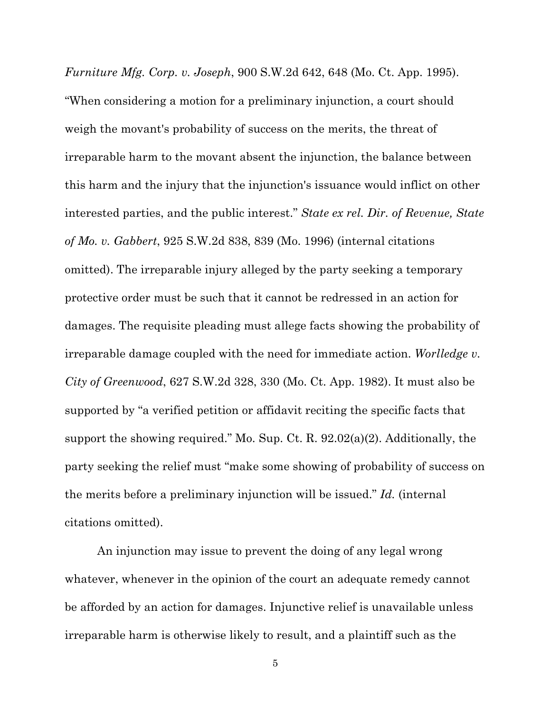*Furniture Mfg. Corp. v. Joseph*, 900 S.W.2d 642, 648 (Mo. Ct. App. 1995). "When considering a motion for a preliminary injunction, a court should weigh the movant's probability of success on the merits, the threat of irreparable harm to the movant absent the injunction, the balance between this harm and the injury that the injunction's issuance would inflict on other interested parties, and the public interest." *State ex rel. Dir. of Revenue, State of Mo. v. Gabbert*, 925 S.W.2d 838, 839 (Mo. 1996) (internal citations omitted). The irreparable injury alleged by the party seeking a temporary protective order must be such that it cannot be redressed in an action for damages. The requisite pleading must allege facts showing the probability of irreparable damage coupled with the need for immediate action. *Worlledge v. City of Greenwood*, 627 S.W.2d 328, 330 (Mo. Ct. App. 1982). It must also be supported by "a verified petition or affidavit reciting the specific facts that support the showing required." Mo. Sup. Ct. R. 92.02(a)(2). Additionally, the party seeking the relief must "make some showing of probability of success on the merits before a preliminary injunction will be issued." *Id.* (internal citations omitted).

An injunction may issue to prevent the doing of any legal wrong whatever, whenever in the opinion of the court an adequate remedy cannot be afforded by an action for damages. Injunctive relief is unavailable unless irreparable harm is otherwise likely to result, and a plaintiff such as the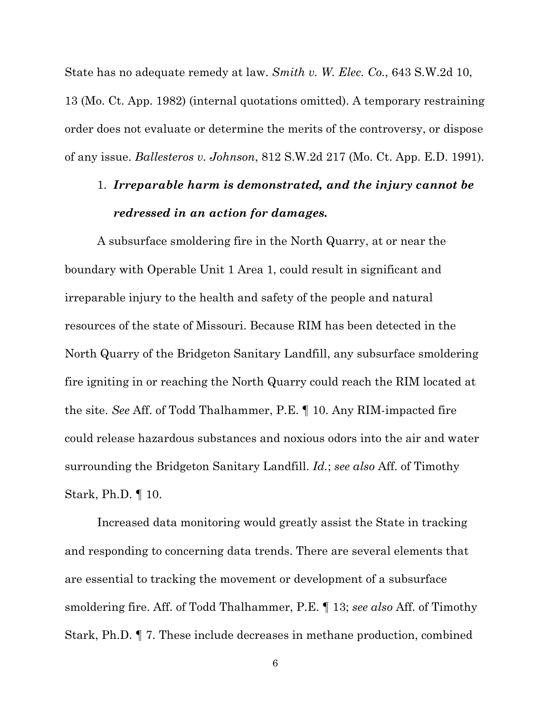State has no adequate remedy at law. *Smith v. W. Elec. Co.*, 643 S.W.2d 10,

13 (Mo. Ct. App. 1982) (internal quotations omitted). A temporary restraining order does not evaluate or determine the merits of the controversy, or dispose of any issue. *Ballesteros v. Johnson*, 812 S.W.2d 217 (Mo. Ct. App. E.D. 1991).

# 1. *Irreparable harm is demonstrated, and the injury cannot be redressed in an action for damages.*

A subsurface smoldering fire in the North Quarry, at or near the boundary with Operable Unit 1 Area 1, could result in significant and irreparable injury to the health and safety of the people and natural resources of the state of Missouri. Because RIM has been detected in the North Quarry of the Bridgeton Sanitary Landfill, any subsurface smoldering fire igniting in or reaching the North Quarry could reach the RIM located at the site. *See* Aff. of Todd Thalhammer, P.E. ¶ 10. Any RIM-impacted fire could release hazardous substances and noxious odors into the air and water surrounding the Bridgeton Sanitary Landfill. *Id.*; *see also* Aff. of Timothy Stark, Ph.D. ¶ 10.

Increased data monitoring would greatly assist the State in tracking and responding to concerning data trends. There are several elements that are essential to tracking the movement or development of a subsurface smoldering fire. Aff. of Todd Thalhammer, P.E. ¶ 13; *see also* Aff. of Timothy Stark, Ph.D. ¶ 7. These include decreases in methane production, combined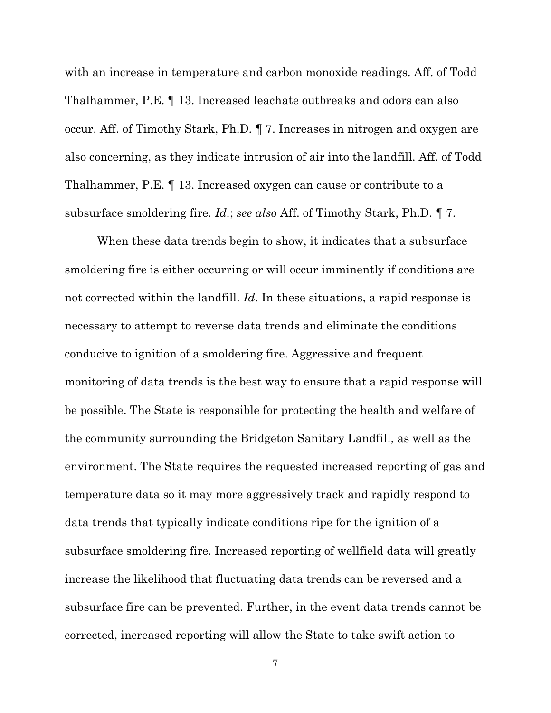with an increase in temperature and carbon monoxide readings. Aff. of Todd Thalhammer, P.E. ¶ 13. Increased leachate outbreaks and odors can also occur. Aff. of Timothy Stark, Ph.D. ¶ 7. Increases in nitrogen and oxygen are also concerning, as they indicate intrusion of air into the landfill. Aff. of Todd Thalhammer, P.E. ¶ 13. Increased oxygen can cause or contribute to a subsurface smoldering fire. *Id.*; *see also* Aff. of Timothy Stark, Ph.D. ¶ 7.

When these data trends begin to show, it indicates that a subsurface smoldering fire is either occurring or will occur imminently if conditions are not corrected within the landfill. *Id.* In these situations, a rapid response is necessary to attempt to reverse data trends and eliminate the conditions conducive to ignition of a smoldering fire. Aggressive and frequent monitoring of data trends is the best way to ensure that a rapid response will be possible. The State is responsible for protecting the health and welfare of the community surrounding the Bridgeton Sanitary Landfill, as well as the environment. The State requires the requested increased reporting of gas and temperature data so it may more aggressively track and rapidly respond to data trends that typically indicate conditions ripe for the ignition of a subsurface smoldering fire. Increased reporting of wellfield data will greatly increase the likelihood that fluctuating data trends can be reversed and a subsurface fire can be prevented. Further, in the event data trends cannot be corrected, increased reporting will allow the State to take swift action to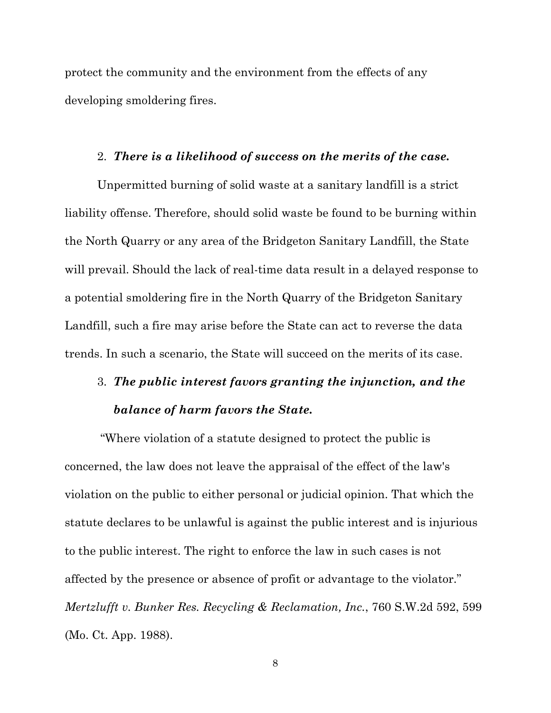protect the community and the environment from the effects of any developing smoldering fires.

### 2. *There is a likelihood of success on the merits of the case.*

Unpermitted burning of solid waste at a sanitary landfill is a strict liability offense. Therefore, should solid waste be found to be burning within the North Quarry or any area of the Bridgeton Sanitary Landfill, the State will prevail. Should the lack of real-time data result in a delayed response to a potential smoldering fire in the North Quarry of the Bridgeton Sanitary Landfill, such a fire may arise before the State can act to reverse the data trends. In such a scenario, the State will succeed on the merits of its case.

# 3. *The public interest favors granting the injunction, and the balance of harm favors the State.*

 "Where violation of a statute designed to protect the public is concerned, the law does not leave the appraisal of the effect of the law's violation on the public to either personal or judicial opinion. That which the statute declares to be unlawful is against the public interest and is injurious to the public interest. The right to enforce the law in such cases is not affected by the presence or absence of profit or advantage to the violator." *Mertzlufft v. Bunker Res. Recycling & Reclamation, Inc.*, 760 S.W.2d 592, 599 (Mo. Ct. App. 1988).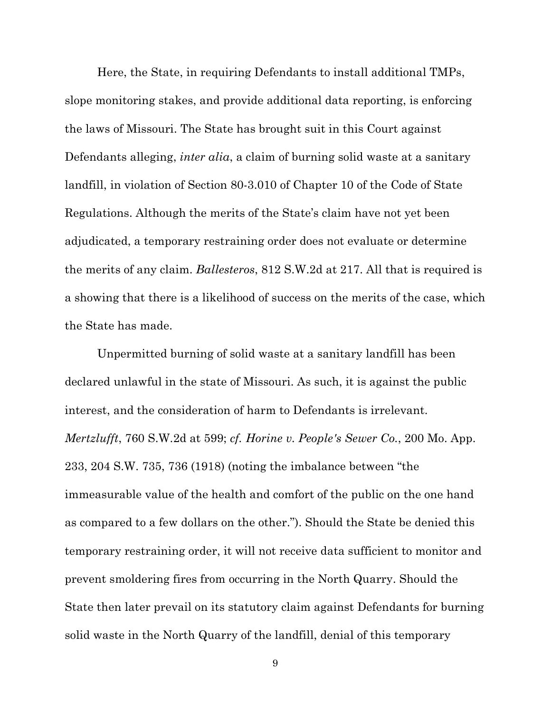Here, the State, in requiring Defendants to install additional TMPs, slope monitoring stakes, and provide additional data reporting, is enforcing the laws of Missouri. The State has brought suit in this Court against Defendants alleging, *inter alia*, a claim of burning solid waste at a sanitary landfill, in violation of Section 80-3.010 of Chapter 10 of the Code of State Regulations. Although the merits of the State's claim have not yet been adjudicated, a temporary restraining order does not evaluate or determine the merits of any claim. *Ballesteros*, 812 S.W.2d at 217. All that is required is a showing that there is a likelihood of success on the merits of the case, which the State has made.

Unpermitted burning of solid waste at a sanitary landfill has been declared unlawful in the state of Missouri. As such, it is against the public interest, and the consideration of harm to Defendants is irrelevant. *Mertzlufft*, 760 S.W.2d at 599; *cf. Horine v. People's Sewer Co.*, 200 Mo. App. 233, 204 S.W. 735, 736 (1918) (noting the imbalance between "the immeasurable value of the health and comfort of the public on the one hand as compared to a few dollars on the other."). Should the State be denied this temporary restraining order, it will not receive data sufficient to monitor and prevent smoldering fires from occurring in the North Quarry. Should the State then later prevail on its statutory claim against Defendants for burning solid waste in the North Quarry of the landfill, denial of this temporary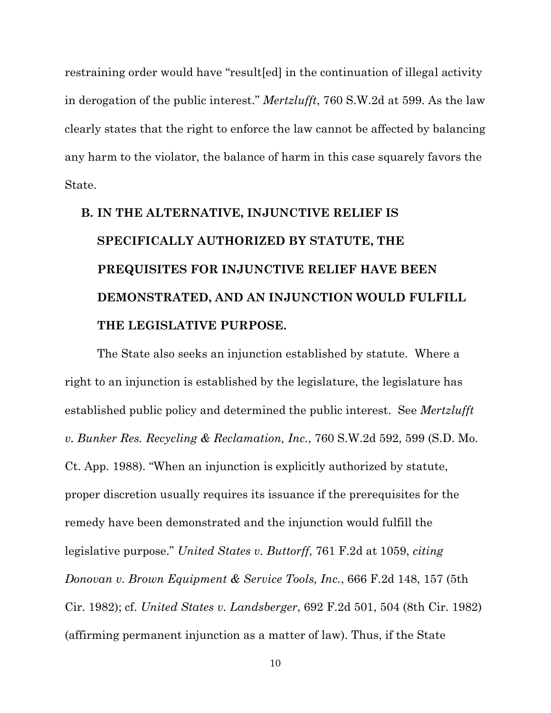restraining order would have "result[ed] in the continuation of illegal activity in derogation of the public interest." *Mertzlufft*, 760 S.W.2d at 599. As the law clearly states that the right to enforce the law cannot be affected by balancing any harm to the violator, the balance of harm in this case squarely favors the State.

# **B. IN THE ALTERNATIVE, INJUNCTIVE RELIEF IS SPECIFICALLY AUTHORIZED BY STATUTE, THE PREQUISITES FOR INJUNCTIVE RELIEF HAVE BEEN DEMONSTRATED, AND AN INJUNCTION WOULD FULFILL THE LEGISLATIVE PURPOSE.**

The State also seeks an injunction established by statute. Where a right to an injunction is established by the legislature, the legislature has established public policy and determined the public interest. See *Mertzlufft v. Bunker Res. Recycling & Reclamation, Inc.*, 760 S.W.2d 592, 599 (S.D. Mo. Ct. App. 1988). "When an injunction is explicitly authorized by statute, proper discretion usually requires its issuance if the prerequisites for the remedy have been demonstrated and the injunction would fulfill the legislative purpose." *United States v. Buttorff*, 761 F.2d at 1059, *citing Donovan v. Brown Equipment & Service Tools, Inc.*, 666 F.2d 148, 157 (5th Cir. 1982); cf. *United States v. Landsberger*, 692 F.2d 501, 504 (8th Cir. 1982) (affirming permanent injunction as a matter of law). Thus, if the State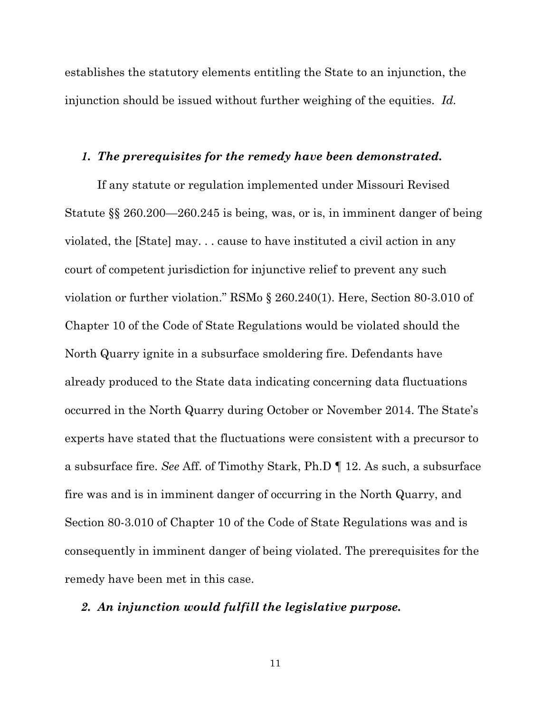establishes the statutory elements entitling the State to an injunction, the injunction should be issued without further weighing of the equities. *Id.* 

#### *1. The prerequisites for the remedy have been demonstrated.*

If any statute or regulation implemented under Missouri Revised Statute §§ 260.200—260.245 is being, was, or is, in imminent danger of being violated, the [State] may. . . cause to have instituted a civil action in any court of competent jurisdiction for injunctive relief to prevent any such violation or further violation." RSMo § 260.240(1). Here, Section 80-3.010 of Chapter 10 of the Code of State Regulations would be violated should the North Quarry ignite in a subsurface smoldering fire. Defendants have already produced to the State data indicating concerning data fluctuations occurred in the North Quarry during October or November 2014. The State's experts have stated that the fluctuations were consistent with a precursor to a subsurface fire. *See* Aff. of Timothy Stark, Ph.D ¶ 12. As such, a subsurface fire was and is in imminent danger of occurring in the North Quarry, and Section 80-3.010 of Chapter 10 of the Code of State Regulations was and is consequently in imminent danger of being violated. The prerequisites for the remedy have been met in this case.

### *2. An injunction would fulfill the legislative purpose.*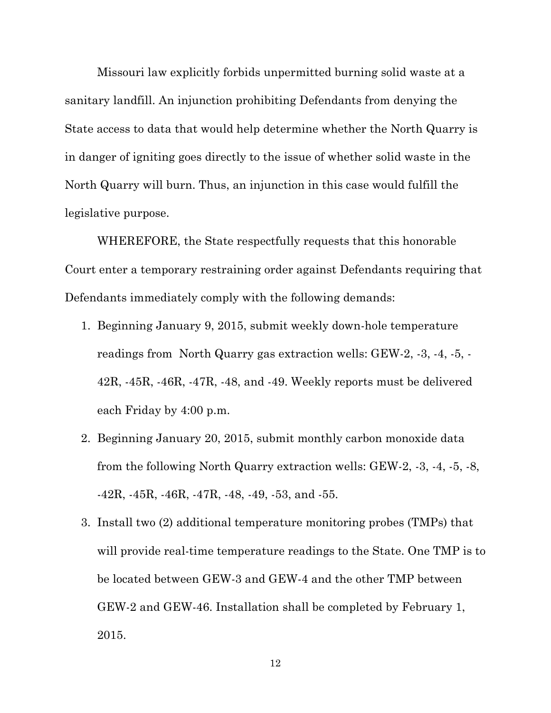Missouri law explicitly forbids unpermitted burning solid waste at a sanitary landfill. An injunction prohibiting Defendants from denying the State access to data that would help determine whether the North Quarry is in danger of igniting goes directly to the issue of whether solid waste in the North Quarry will burn. Thus, an injunction in this case would fulfill the legislative purpose.

WHEREFORE, the State respectfully requests that this honorable Court enter a temporary restraining order against Defendants requiring that Defendants immediately comply with the following demands:

- 1. Beginning January 9, 2015, submit weekly down-hole temperature readings from North Quarry gas extraction wells: GEW-2, -3, -4, -5, - 42R, -45R, -46R, -47R, -48, and -49. Weekly reports must be delivered each Friday by 4:00 p.m.
- 2. Beginning January 20, 2015, submit monthly carbon monoxide data from the following North Quarry extraction wells: GEW-2, -3, -4, -5, -8,  $-42R$ ,  $-45R$ ,  $-46R$ ,  $-47R$ ,  $-48$ ,  $-49$ ,  $-53$ , and  $-55$ .
- 3. Install two (2) additional temperature monitoring probes (TMPs) that will provide real-time temperature readings to the State. One TMP is to be located between GEW-3 and GEW-4 and the other TMP between GEW-2 and GEW-46. Installation shall be completed by February 1, 2015.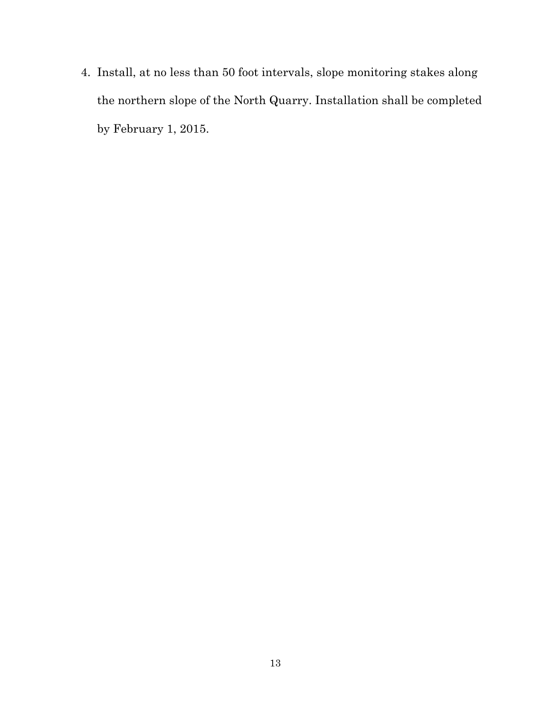4. Install, at no less than 50 foot intervals, slope monitoring stakes along the northern slope of the North Quarry. Installation shall be completed by February 1, 2015.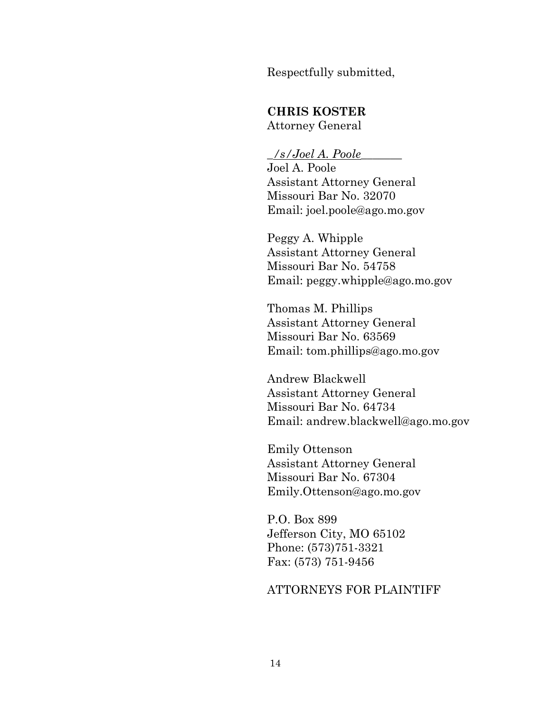Respectfully submitted,

### **CHRIS KOSTER**

Attorney General

### \_*/s/Joel A. Poole*\_\_\_\_\_\_\_

Joel A. Poole Assistant Attorney General Missouri Bar No. 32070 Email: joel.poole@ago.mo.gov

Peggy A. Whipple Assistant Attorney General Missouri Bar No. 54758 Email: peggy.whipple@ago.mo.gov

Thomas M. Phillips Assistant Attorney General Missouri Bar No. 63569 Email: tom.phillips@ago.mo.gov

Andrew Blackwell Assistant Attorney General Missouri Bar No. 64734 Email: andrew.blackwell@ago.mo.gov

Emily Ottenson Assistant Attorney General Missouri Bar No. 67304 Emily.Ottenson@ago.mo.gov

P.O. Box 899 Jefferson City, MO 65102 Phone: (573)751-3321 Fax: (573) 751-9456

### ATTORNEYS FOR PLAINTIFF